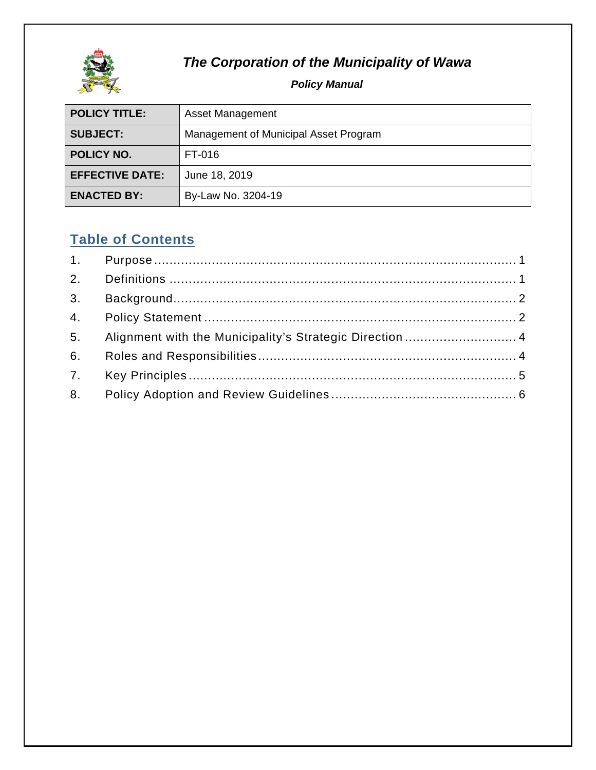

# **The Corporation of the Municipality of Wawa**

#### *Policy M Manual*

| <b>POLICY TITLE:</b>     | Asset Management                      |  |  |  |
|--------------------------|---------------------------------------|--|--|--|
| <b>SUBJECT:</b>          | Management of Municipal Asset Program |  |  |  |
| POLICY NO.               | FT-016                                |  |  |  |
| <b>EFFECTIVE DATE:</b>   | June 18, 2019                         |  |  |  |
| <b>ENACTED BY:</b>       | By-Law No. 3204-19                    |  |  |  |
|                          |                                       |  |  |  |
| <b>Table of Contents</b> |                                       |  |  |  |
| 1.                       |                                       |  |  |  |

# **Table of Contents**

| 3. |                                                          |
|----|----------------------------------------------------------|
|    |                                                          |
| 5. | Alignment with the Municipality's Strategic Direction  4 |
| 6. |                                                          |
|    |                                                          |
|    |                                                          |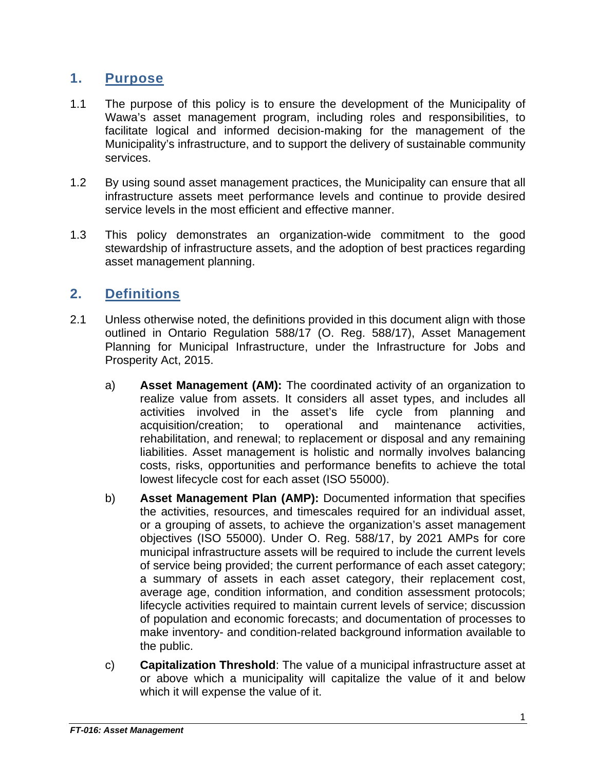#### **1. Purpose**

- 1.1 The purpose of this policy is to ensure the development of the Municipality of Wawa's asset management program, including roles and responsibilities, to facilitate logical and informed decision-making for the management of the Municipality's infrastructure, and to support the delivery of sustainable community services.
- 1.2 By using sound asset management practices, the Municipality can ensure that all infrastructure assets meet performance levels and continue to provide desired service levels in the most efficient and effective manner.
- 1.3 This policy demonstrates an organization-wide commitment to the good stewardship of infrastructure assets, and the adoption of best practices regarding asset management planning.

### **2. Definitions**

- 2.1 Unless otherwise noted, the definitions provided in this document align with those outlined in Ontario Regulation 588/17 (O. Reg. 588/17), Asset Management Planning for Municipal Infrastructure, under the Infrastructure for Jobs and Prosperity Act, 2015.
	- a) **Asset Management (AM):** The coordinated activity of an organization to realize value from assets. It considers all asset types, and includes all activities involved in the asset's life cycle from planning and acquisition/creation; to operational and maintenance activities, rehabilitation, and renewal; to replacement or disposal and any remaining liabilities. Asset management is holistic and normally involves balancing costs, risks, opportunities and performance benefits to achieve the total lowest lifecycle cost for each asset (ISO 55000).
	- b) **Asset Management Plan (AMP):** Documented information that specifies the activities, resources, and timescales required for an individual asset, or a grouping of assets, to achieve the organization's asset management objectives (ISO 55000). Under O. Reg. 588/17, by 2021 AMPs for core municipal infrastructure assets will be required to include the current levels of service being provided; the current performance of each asset category; a summary of assets in each asset category, their replacement cost, average age, condition information, and condition assessment protocols; lifecycle activities required to maintain current levels of service; discussion of population and economic forecasts; and documentation of processes to make inventory- and condition-related background information available to the public.
	- c) **Capitalization Threshold**: The value of a municipal infrastructure asset at or above which a municipality will capitalize the value of it and below which it will expense the value of it.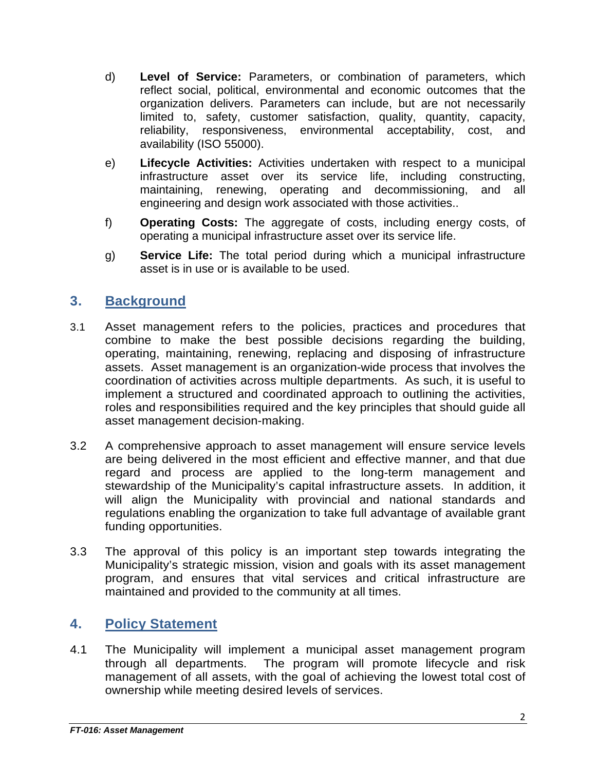- d) **Level of Service:** Parameters, or combination of parameters, which reflect social, political, environmental and economic outcomes that the organization delivers. Parameters can include, but are not necessarily limited to, safety, customer satisfaction, quality, quantity, capacity, reliability, responsiveness, environmental acceptability, cost, and availability (ISO 55000).
- e) **Lifecycle Activities:** Activities undertaken with respect to a municipal infrastructure asset over its service life, including constructing, maintaining, renewing, operating and decommissioning, and all engineering and design work associated with those activities..
- f) **Operating Costs:** The aggregate of costs, including energy costs, of operating a municipal infrastructure asset over its service life.
- g) **Service Life:** The total period during which a municipal infrastructure asset is in use or is available to be used.

## **3. Background**

- 3.1 Asset management refers to the policies, practices and procedures that combine to make the best possible decisions regarding the building, operating, maintaining, renewing, replacing and disposing of infrastructure assets. Asset management is an organization-wide process that involves the coordination of activities across multiple departments. As such, it is useful to implement a structured and coordinated approach to outlining the activities, roles and responsibilities required and the key principles that should guide all asset management decision-making.
- 3.2 A comprehensive approach to asset management will ensure service levels are being delivered in the most efficient and effective manner, and that due regard and process are applied to the long-term management and stewardship of the Municipality's capital infrastructure assets. In addition, it will align the Municipality with provincial and national standards and regulations enabling the organization to take full advantage of available grant funding opportunities.
- 3.3 The approval of this policy is an important step towards integrating the Municipality's strategic mission, vision and goals with its asset management program, and ensures that vital services and critical infrastructure are maintained and provided to the community at all times.

#### **4. Policy Statement**

4.1 The Municipality will implement a municipal asset management program through all departments. The program will promote lifecycle and risk management of all assets, with the goal of achieving the lowest total cost of ownership while meeting desired levels of services.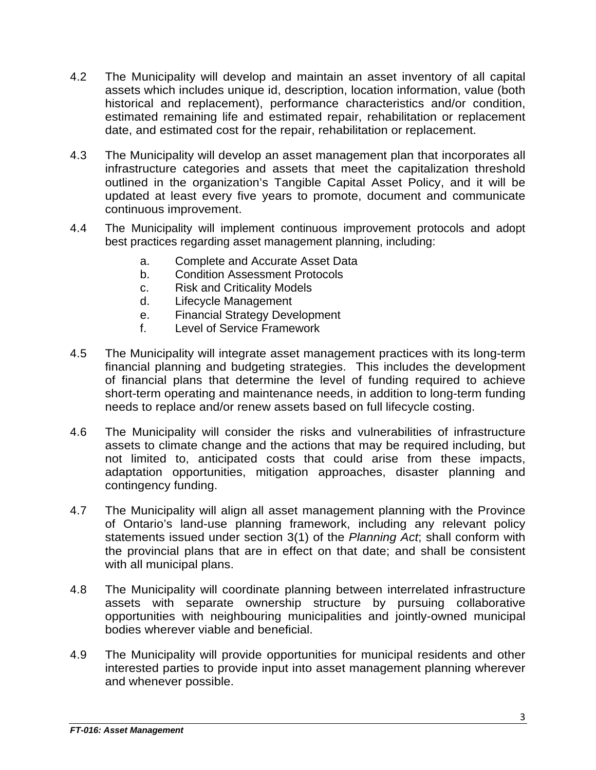- 4.2 The Municipality will develop and maintain an asset inventory of all capital assets which includes unique id, description, location information, value (both historical and replacement), performance characteristics and/or condition, estimated remaining life and estimated repair, rehabilitation or replacement date, and estimated cost for the repair, rehabilitation or replacement.
- 4.3 The Municipality will develop an asset management plan that incorporates all infrastructure categories and assets that meet the capitalization threshold outlined in the organization's Tangible Capital Asset Policy, and it will be updated at least every five years to promote, document and communicate continuous improvement.
- 4.4 The Municipality will implement continuous improvement protocols and adopt best practices regarding asset management planning, including:
	- a. Complete and Accurate Asset Data
	- b. Condition Assessment Protocols
	- c. Risk and Criticality Models
	- d. Lifecycle Management
	- e. Financial Strategy Development
	- f. Level of Service Framework
- 4.5 The Municipality will integrate asset management practices with its long-term financial planning and budgeting strategies. This includes the development of financial plans that determine the level of funding required to achieve short-term operating and maintenance needs, in addition to long-term funding needs to replace and/or renew assets based on full lifecycle costing.
- 4.6 The Municipality will consider the risks and vulnerabilities of infrastructure assets to climate change and the actions that may be required including, but not limited to, anticipated costs that could arise from these impacts, adaptation opportunities, mitigation approaches, disaster planning and contingency funding.
- 4.7 The Municipality will align all asset management planning with the Province of Ontario's land-use planning framework, including any relevant policy statements issued under section 3(1) of the *Planning Act*; shall conform with the provincial plans that are in effect on that date; and shall be consistent with all municipal plans.
- 4.8 The Municipality will coordinate planning between interrelated infrastructure assets with separate ownership structure by pursuing collaborative opportunities with neighbouring municipalities and jointly-owned municipal bodies wherever viable and beneficial.
- 4.9 The Municipality will provide opportunities for municipal residents and other interested parties to provide input into asset management planning wherever and whenever possible.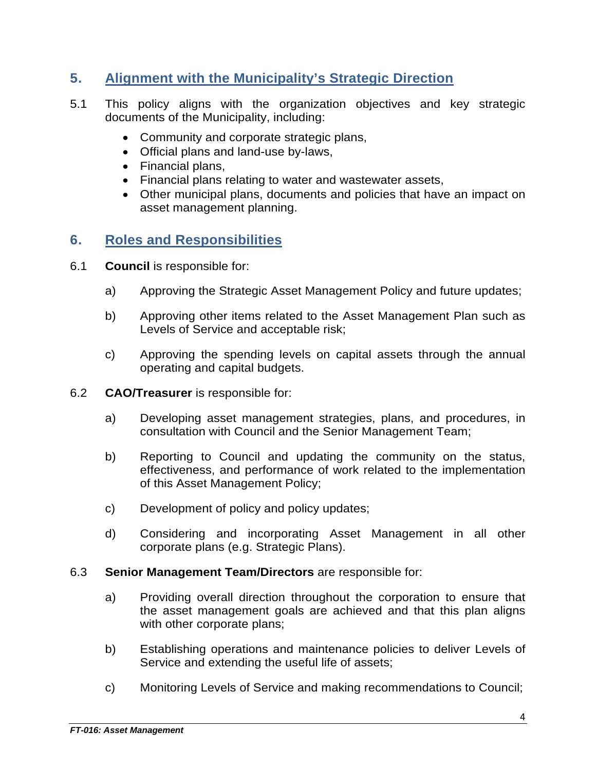### **5. Alignment with the Municipality's Strategic Direction**

- 5.1 This policy aligns with the organization objectives and key strategic documents of the Municipality, including:
	- Community and corporate strategic plans,
	- Official plans and land-use by-laws,
	- Financial plans,
	- Financial plans relating to water and wastewater assets,
	- Other municipal plans, documents and policies that have an impact on asset management planning.

#### **6. Roles and Responsibilities**

- 6.1 **Council** is responsible for:
	- a) Approving the Strategic Asset Management Policy and future updates;
	- b) Approving other items related to the Asset Management Plan such as Levels of Service and acceptable risk;
	- c) Approving the spending levels on capital assets through the annual operating and capital budgets.
- 6.2 **CAO/Treasurer** is responsible for:
	- a) Developing asset management strategies, plans, and procedures, in consultation with Council and the Senior Management Team;
	- b) Reporting to Council and updating the community on the status, effectiveness, and performance of work related to the implementation of this Asset Management Policy;
	- c) Development of policy and policy updates;
	- d) Considering and incorporating Asset Management in all other corporate plans (e.g. Strategic Plans).

#### 6.3 **Senior Management Team/Directors** are responsible for:

- a) Providing overall direction throughout the corporation to ensure that the asset management goals are achieved and that this plan aligns with other corporate plans;
- b) Establishing operations and maintenance policies to deliver Levels of Service and extending the useful life of assets;
- c) Monitoring Levels of Service and making recommendations to Council;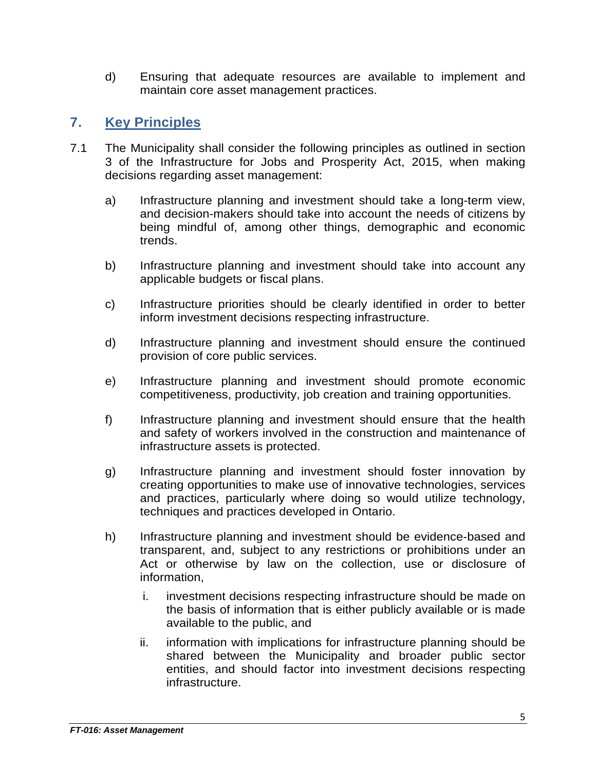d) Ensuring that adequate resources are available to implement and maintain core asset management practices.

### **7. Key Principles**

- 7.1 The Municipality shall consider the following principles as outlined in section 3 of the Infrastructure for Jobs and Prosperity Act, 2015, when making decisions regarding asset management:
	- a) Infrastructure planning and investment should take a long-term view, and decision-makers should take into account the needs of citizens by being mindful of, among other things, demographic and economic trends.
	- b) Infrastructure planning and investment should take into account any applicable budgets or fiscal plans.
	- c) Infrastructure priorities should be clearly identified in order to better inform investment decisions respecting infrastructure.
	- d) Infrastructure planning and investment should ensure the continued provision of core public services.
	- e) Infrastructure planning and investment should promote economic competitiveness, productivity, job creation and training opportunities.
	- f) Infrastructure planning and investment should ensure that the health and safety of workers involved in the construction and maintenance of infrastructure assets is protected.
	- g) Infrastructure planning and investment should foster innovation by creating opportunities to make use of innovative technologies, services and practices, particularly where doing so would utilize technology, techniques and practices developed in Ontario.
	- h) Infrastructure planning and investment should be evidence-based and transparent, and, subject to any restrictions or prohibitions under an Act or otherwise by law on the collection, use or disclosure of information,
		- i. investment decisions respecting infrastructure should be made on the basis of information that is either publicly available or is made available to the public, and
		- ii. information with implications for infrastructure planning should be shared between the Municipality and broader public sector entities, and should factor into investment decisions respecting infrastructure.